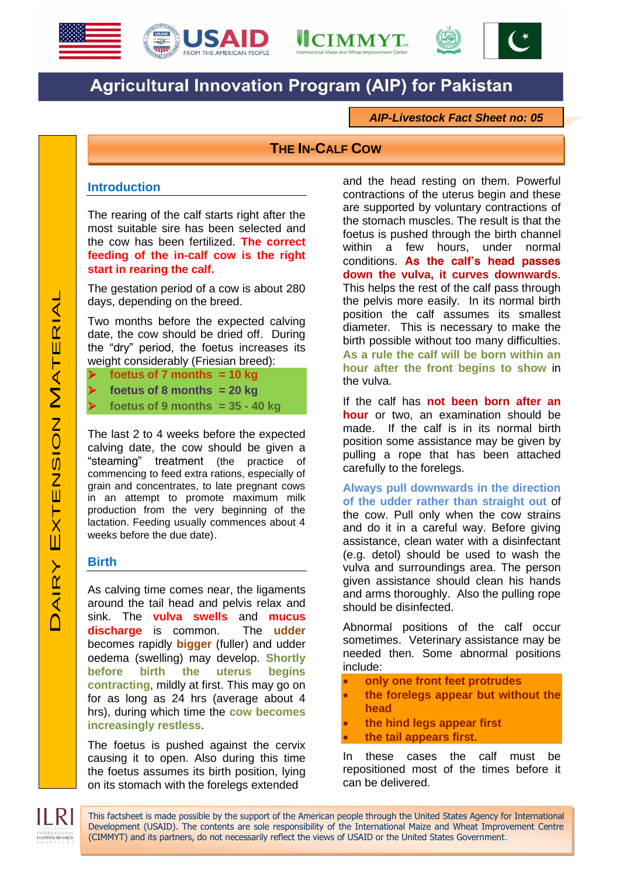





# **Agricultural Innovation Program (AIP) for Pakistan**

*AIP-Livestock Fact Sheet no: 05*

## **THE IN-CALF COW**

#### **Introduction**

The rearing of the calf starts right after the most suitable sire has been selected and the cow has been fertilized. **The correct feeding of the in-calf cow is the right start in rearing the calf.**

The gestation period of a cow is about 280 days, depending on the breed.

Two months before the expected calving date, the cow should be dried off. During the "dry" period, the foetus increases its weight considerably (Friesian breed):

- **foetus of 7 months = 10 kg**
- **foetus of 8 months = 20 kg**
	- **foetus of 9 months = 35 - 40 kg**

The last 2 to 4 weeks before the expected calving date, the cow should be given a "steaming" treatment (the practice of commencing to feed extra rations, especially of grain and concentrates, to late pregnant cows in an attempt to promote maximum milk production from the very beginning of the lactation. Feeding usually commences about 4 weeks before the due date).

#### **Birth**

As calving time comes near, the ligaments around the tail head and pelvis relax and sink. The **vulva swells** and **mucus discharge** is common. The **udder** becomes rapidly **bigger** (fuller) and udder oedema (swelling) may develop. **Shortly before birth the uterus begins contracting**, mildly at first. This may go on for as long as 24 hrs (average about 4 hrs), during which time the **cow becomes increasingly restless**.

The foetus is pushed against the cervix causing it to open. Also during this time the foetus assumes its birth position, lying on its stomach with the forelegs extended

and the head resting on them. Powerful contractions of the uterus begin and these are supported by voluntary contractions of the stomach muscles. The result is that the foetus is pushed through the birth channel within a few hours, under normal conditions. **As the calf's head passes down the vulva, it curves downwards**. This helps the rest of the calf pass through the pelvis more easily. In its normal birth position the calf assumes its smallest diameter. This is necessary to make the birth possible without too many difficulties. **As a rule the calf will be born within an hour after the front begins to show** in the vulva.

If the calf has **not been born after an hour** or two, an examination should be made. If the calf is in its normal birth position some assistance may be given by pulling a rope that has been attached carefully to the forelegs.

**Always pull downwards in the direction of the udder rather than straight out** of the cow. Pull only when the cow strains and do it in a careful way. Before giving assistance, clean water with a disinfectant (e.g. detol) should be used to wash the vulva and surroundings area. The person given assistance should clean his hands and arms thoroughly. Also the pulling rope should be disinfected.

Abnormal positions of the calf occur sometimes. Veterinary assistance may be needed then. Some abnormal positions include:

- **only one front feet protrudes**
- **the forelegs appear but without the head**
- **the hind legs appear first**
- **the tail appears first.**

In these cases the calf must be repositioned most of the times before it can be delivered.

This factsheet is made possible by the support of the American people through the United States Agency for International Development (USAID). The contents are sole responsibility of the International Maize and Wheat Improvement Centre (CIMMYT) and its partners, do not necessarily reflect the views of USAID or the United States Government.

LIVESTOCK RESEARCH